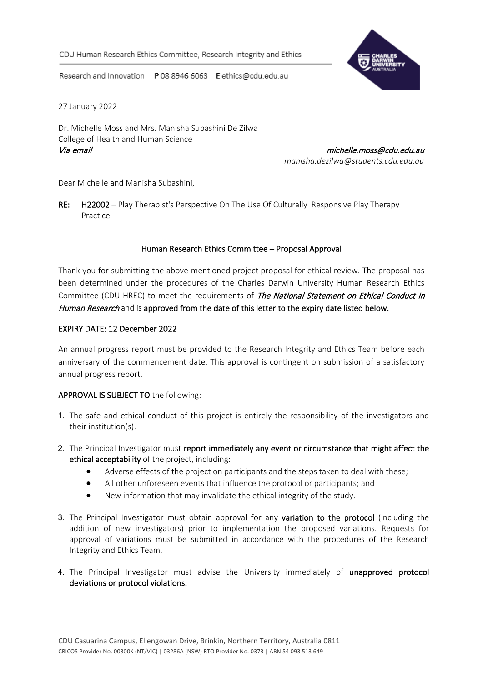

Research and Innovation P 08 8946 6063 E ethics@cdu.edu.au

27 January 2022

Dr. Michelle Moss and Mrs. Manisha Subashini De Zilwa College of Health and Human Science Via email michelle.moss@cdu.edu.au

*manisha.dezilwa@students.cdu.edu.au*

Dear Michelle and Manisha Subashini,

RE: H22002 – Play Therapist's Perspective On The Use Of Culturally Responsive Play Therapy Practice

## Human Research Ethics Committee – Proposal Approval

Thank you for submitting the above-mentioned project proposal for ethical review. The proposal has been determined under the procedures of the Charles Darwin University Human Research Ethics Committee (CDU-HREC) to meet the requirements of The National Statement on Ethical Conduct in Human Research and is approved from the date of this letter to the expiry date listed below.

## EXPIRY DATE: 12 December 2022

An annual progress report must be provided to the Research Integrity and Ethics Team before each anniversary of the commencement date. This approval is contingent on submission of a satisfactory annual progress report.

## APPROVAL IS SUBJECT TO the following:

- 1. The safe and ethical conduct of this project is entirely the responsibility of the investigators and their institution(s).
- 2. The Principal Investigator must report immediately any event or circumstance that might affect the ethical acceptability of the project, including:
	- Adverse effects of the project on participants and the steps taken to deal with these;
	- All other unforeseen events that influence the protocol or participants; and
	- New information that may invalidate the ethical integrity of the study.
- 3. The Principal Investigator must obtain approval for any variation to the protocol (including the addition of new investigators) prior to implementation the proposed variations. Requests for approval of variations must be submitted in accordance with the procedures of the Research Integrity and Ethics Team.
- 4. The Principal Investigator must advise the University immediately of unapproved protocol deviations or protocol violations.